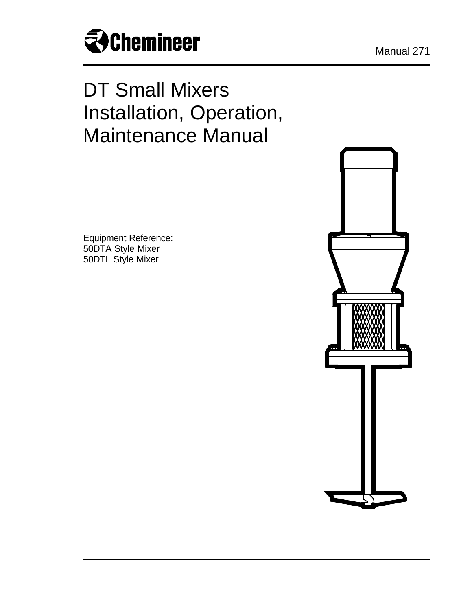

# DT Small Mixers Installation, Operation, Maintenance Manual

Equipment Reference: 50DTA Style Mixer 50DTL Style Mixer

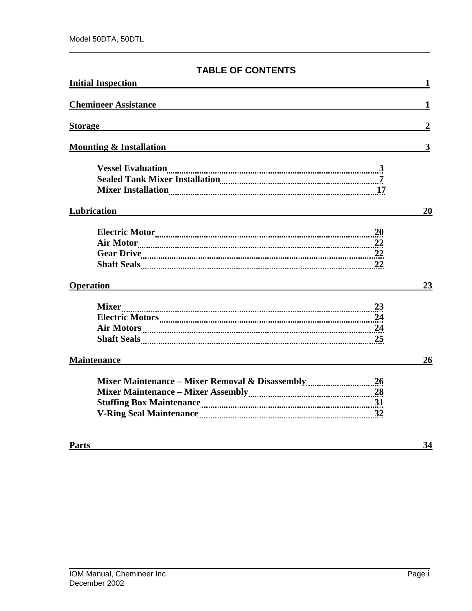# **TABLE OF CONTENTS**

| <b>Initial Inspection</b>            |                         |
|--------------------------------------|-------------------------|
| <b>Chemineer Assistance</b>          | 1                       |
| <b>Storage</b>                       | $\boldsymbol{2}$        |
| <b>Mounting &amp; Installation</b>   | $\overline{\mathbf{3}}$ |
| Mixer Installation <sub></sub> 27.17 |                         |
| Lubrication                          | 20                      |
| <b>20</b>                            |                         |
| <b>Operation</b>                     | 23                      |
|                                      |                         |
| <b>Maintenance</b>                   | 26                      |
|                                      |                         |
| <b>Parts</b>                         | 34                      |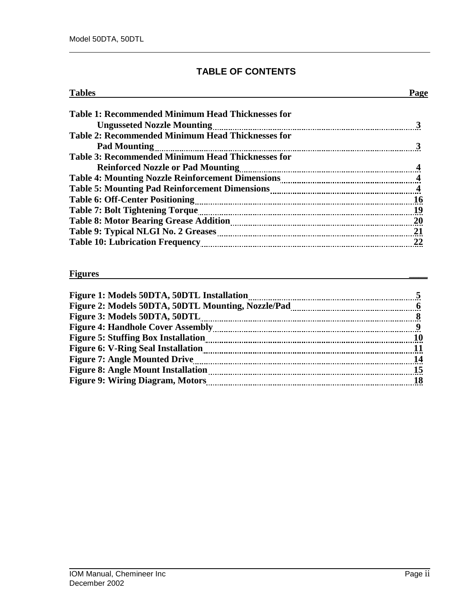# **TABLE OF CONTENTS**

| <b>Tables</b>                                            | Page |
|----------------------------------------------------------|------|
| <b>Table 1: Recommended Minimum Head Thicknesses for</b> |      |
| <b>Ungusseted Nozzle Mounting</b>                        |      |
| <b>Table 2: Recommended Minimum Head Thicknesses for</b> |      |
| <b>Pad Mounting</b>                                      |      |
| <b>Table 3: Recommended Minimum Head Thicknesses for</b> |      |
|                                                          |      |
|                                                          |      |
|                                                          |      |
|                                                          | 16   |
|                                                          |      |
|                                                          | 20   |
|                                                          |      |
|                                                          | 22   |

#### **Figures \_\_\_\_**

| Figure 1: Models 50DTA, 50DTL Installation         |    |
|----------------------------------------------------|----|
| Figure 2: Models 50DTA, 50DTL Mounting, Nozzle/Pad |    |
| Figure 3: Models 50DTA, 50DTL                      |    |
| <b>Figure 4: Handhole Cover Assembly</b>           |    |
| <b>Figure 5: Stuffing Box Installation</b>         |    |
| <b>Figure 6: V-Ring Seal Installation</b>          |    |
| <b>Figure 7: Angle Mounted Drive</b>               |    |
| <b>Figure 8: Angle Mount Installation</b>          | 15 |
| <b>Figure 9: Wiring Diagram, Motors</b>            |    |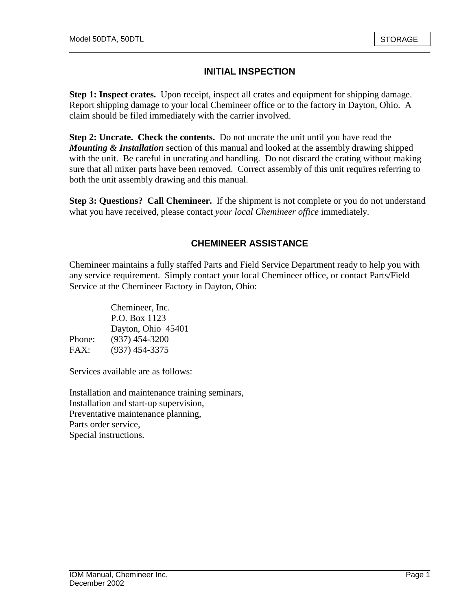# **INITIAL INSPECTION**

**Step 1: Inspect crates.** Upon receipt, inspect all crates and equipment for shipping damage. Report shipping damage to your local Chemineer office or to the factory in Dayton, Ohio. A claim should be filed immediately with the carrier involved.

**Step 2: Uncrate. Check the contents.** Do not uncrate the unit until you have read the *Mounting & Installation* section of this manual and looked at the assembly drawing shipped with the unit. Be careful in uncrating and handling. Do not discard the crating without making sure that all mixer parts have been removed. Correct assembly of this unit requires referring to both the unit assembly drawing and this manual.

**Step 3: Questions? Call Chemineer.** If the shipment is not complete or you do not understand what you have received, please contact *your local Chemineer office* immediately.

# **CHEMINEER ASSISTANCE**

Chemineer maintains a fully staffed Parts and Field Service Department ready to help you with any service requirement. Simply contact your local Chemineer office, or contact Parts/Field Service at the Chemineer Factory in Dayton, Ohio:

|        | Chemineer, Inc.    |
|--------|--------------------|
|        | P.O. Box 1123      |
|        | Dayton, Ohio 45401 |
| Phone: | $(937)$ 454-3200   |
| FAX:   | $(937)$ 454-3375   |

Services available are as follows:

Installation and maintenance training seminars, Installation and start-up supervision, Preventative maintenance planning, Parts order service, Special instructions.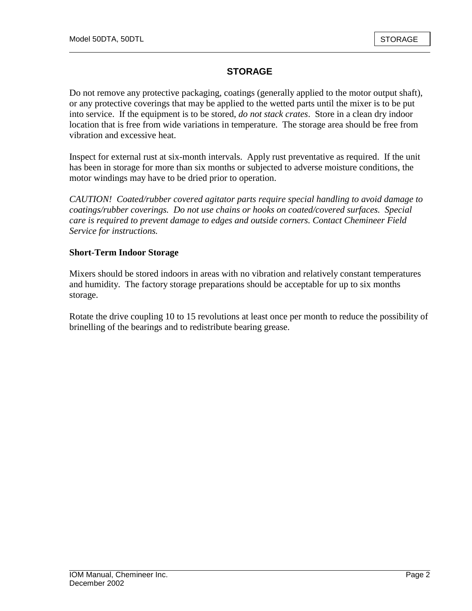# **STORAGE**

Do not remove any protective packaging, coatings (generally applied to the motor output shaft), or any protective coverings that may be applied to the wetted parts until the mixer is to be put into service. If the equipment is to be stored, *do not stack crates*. Store in a clean dry indoor location that is free from wide variations in temperature. The storage area should be free from vibration and excessive heat.

Inspect for external rust at six-month intervals. Apply rust preventative as required. If the unit has been in storage for more than six months or subjected to adverse moisture conditions, the motor windings may have to be dried prior to operation.

*CAUTION! Coated/rubber covered agitator parts require special handling to avoid damage to coatings/rubber coverings. Do not use chains or hooks on coated/covered surfaces. Special care is required to prevent damage to edges and outside corners. Contact Chemineer Field Service for instructions.* 

### **Short-Term Indoor Storage**

Mixers should be stored indoors in areas with no vibration and relatively constant temperatures and humidity. The factory storage preparations should be acceptable for up to six months storage.

Rotate the drive coupling 10 to 15 revolutions at least once per month to reduce the possibility of brinelling of the bearings and to redistribute bearing grease.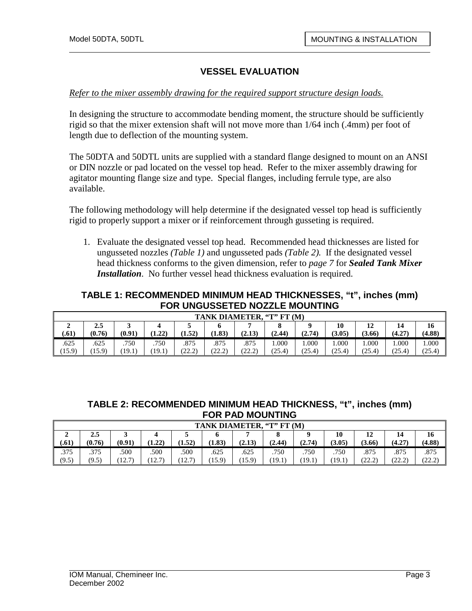#### *Refer to the mixer assembly drawing for the required support structure design loads.*

In designing the structure to accommodate bending moment, the structure should be sufficiently rigid so that the mixer extension shaft will not move more than 1/64 inch (.4mm) per foot of length due to deflection of the mounting system.

The 50DTA and 50DTL units are supplied with a standard flange designed to mount on an ANSI or DIN nozzle or pad located on the vessel top head. Refer to the mixer assembly drawing for agitator mounting flange size and type. Special flanges, including ferrule type, are also available.

The following methodology will help determine if the designated vessel top head is sufficiently rigid to properly support a mixer or if reinforcement through gusseting is required.

1. Evaluate the designated vessel top head. Recommended head thicknesses are listed for ungusseted nozzles *(Table 1)* and ungusseted pads *(Table 2).* If the designated vessel head thickness conforms to the given dimension, refer to *page 7* for *Sealed Tank Mixer Installation*. No further vessel head thickness evaluation is required.

#### **TABLE 1: RECOMMENDED MINIMUM HEAD THICKNESSES, "t", inches (mm) FOR UNGUSSETED NOZZLE MOUNTING**

|        | . ''T'' FT (M`<br><b>TANK DIAMETER</b> |        |               |                |                                                                     |                         |        |        |        |        |        |        |
|--------|----------------------------------------|--------|---------------|----------------|---------------------------------------------------------------------|-------------------------|--------|--------|--------|--------|--------|--------|
|        | 12<br>10<br>16<br>14<br>2.5<br>ັ       |        |               |                |                                                                     |                         |        |        |        |        |        |        |
| (.61)  | (0.76)                                 | (0.91) | l クク)<br>1.44 | 1.52           | (1.83)                                                              | (2.13)                  | (2.44) | (2.74) | (3.05) | (3.66) | (4.27) | (4.88) |
| .625   | .625                                   | .750   | .750          | .875           | .875                                                                | .875                    | 000.1  | 000.   | 1.000  | .000   | .000   | 000.1  |
| (15.9) | $15.9^{\circ}$                         | [19.1] | 19.1          | ده ص<br>ے ، دے | ده ده۱<br>$\mathcal{L}_1 \mathcal{L}_2 \mathcal{L}_3 \mathcal{L}_4$ | $\gamma$<br>C.<br>ستمست | (25.4) | (25.4) | (25.4) | (25.4) | (25.4) | (25.4) |

#### **TABLE 2: RECOMMENDED MINIMUM HEAD THICKNESS, "t", inches (mm) FOR PAD MOUNTING**

|       | <b>TANK DIAMETER.</b><br>. "T" FT (M)   |                                  |                                  |                          |        |        |        |        |        |               |                    |                   |
|-------|-----------------------------------------|----------------------------------|----------------------------------|--------------------------|--------|--------|--------|--------|--------|---------------|--------------------|-------------------|
| ∸     | $\Omega$<br>12<br>16<br>10<br>2.5<br>14 |                                  |                                  |                          |        |        |        |        |        |               |                    |                   |
| (.61) | (0.76)                                  | (0.91)                           | (1.22)                           | (1.52)                   | (1.83) | (2.13) | (2.44) | (2.74) | (3.05) | (3.66)        | (4.27)             | (4.88)            |
| .375  | .375                                    | .500                             | .500                             | .500                     | .625   | .625   | .750   | .750   | .750   | .875          | .875               | .875              |
| (9.5) | (9.5)                                   | 12.7<br>$1 \overline{2} \cdot I$ | 12.7<br>$1 \overline{2} \cdot 1$ | 12.7<br>$1 \overline{2}$ | 15.9   | 15.9)  | (19.1) | 19.1   | (19.1) | ده ص<br>ستمست | ור ררי<br>كە كەنگە | ره اټ<br>ے کے لیے |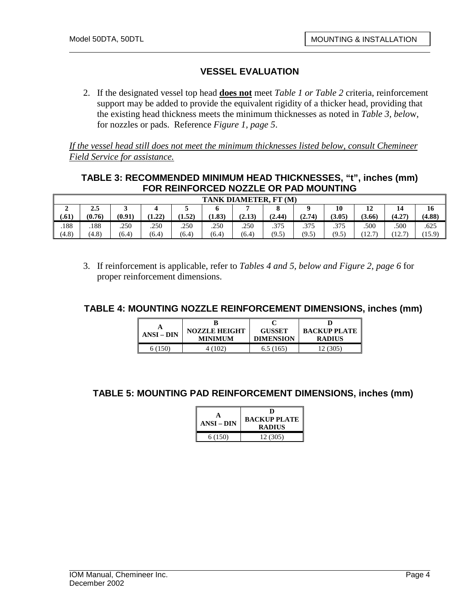2. If the designated vessel top head **does not** meet *Table 1 or Table 2* criteria, reinforcement support may be added to provide the equivalent rigidity of a thicker head, providing that the existing head thickness meets the minimum thicknesses as noted in *Table 3, belo*w, for nozzles or pads. Reference *Figure 1, page 5*.

*If the vessel head still does not meet the minimum thicknesses listed below, consult Chemineer Field Service for assistance.*

## **TABLE 3: RECOMMENDED MINIMUM HEAD THICKNESSES, "t", inches (mm) FOR REINFORCED NOZZLE OR PAD MOUNTING**

|       | <b>TANK DIAMETER.</b><br>FT(M) |        |        |        |        |        |        |        |        |                          |                       |        |
|-------|--------------------------------|--------|--------|--------|--------|--------|--------|--------|--------|--------------------------|-----------------------|--------|
| ◢     | 2.5                            |        |        |        |        |        |        |        | 10     | 12                       | 14                    | 16     |
| (.61) | (0.76)                         | (0.91) | (1.22) | (1.52) | (1.83) | (2.13) | (2.44) | (2.74) | (3.05) | (3.66)                   | (4.27)                | (4.88) |
| .188  | .188                           | .250   | .250   | .250   | .250   | .250   | .375   | .375   | .375   | .500                     | .500                  | .625   |
| (4.8) | (4.8)                          | (6.4)  | (6.4)  | (6.4)  | (6.4)  | (6.4)  | (9.5)  | (9.5)  | (9.5)  | 12.7<br>$1 \overline{2}$ | 12T<br>$\overline{1}$ | (15.9) |

3. If reinforcement is applicable, refer to *Tables 4 and 5, below and Figure 2, page 6* for proper reinforcement dimensions.

#### **TABLE 4: MOUNTING NOZZLE REINFORCEMENT DIMENSIONS, inches (mm)**

| $ANSI-DIN$ | <b>NOZZLE HEIGHT</b> | <b>GUSSET</b>    | <b>BACKUP PLATE</b> |  |
|------------|----------------------|------------------|---------------------|--|
|            | <b>MINIMUM</b>       | <b>DIMENSION</b> | <b>RADIUS</b>       |  |
| 6 (150)    | (102)                | 6.5(165)         |                     |  |

#### **TABLE 5: MOUNTING PAD REINFORCEMENT DIMENSIONS, inches (mm)**

| <b>ANSI – DIN</b> | D<br><b>BACKUP PLATE</b><br>RADIUS |  |  |  |  |
|-------------------|------------------------------------|--|--|--|--|
| 6(150)            | 12(305)                            |  |  |  |  |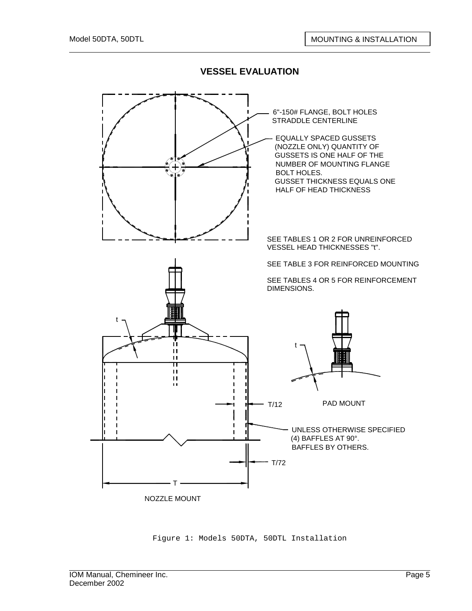

Figure 1: Models 50DTA, 50DTL Installation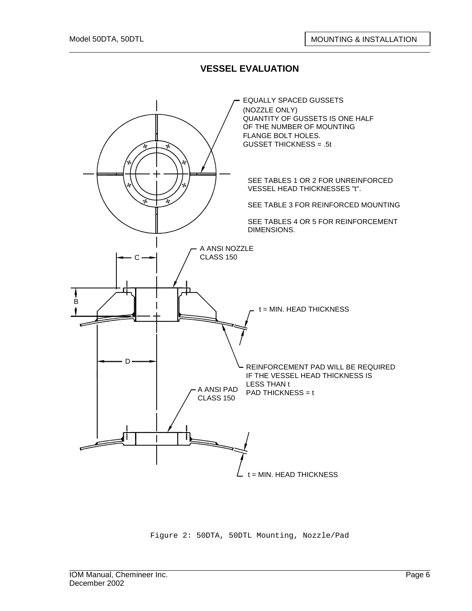

Figure 2: 50DTA, 50DTL Mounting, Nozzle/Pad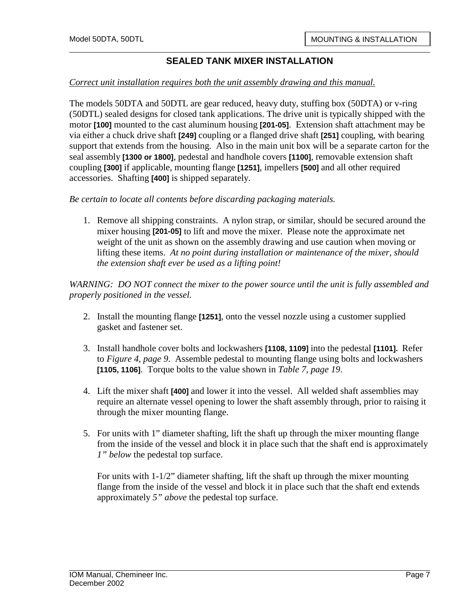#### *Correct unit installation requires both the unit assembly drawing and this manual.*

The models 50DTA and 50DTL are gear reduced, heavy duty, stuffing box (50DTA) or v-ring (50DTL) sealed designs for closed tank applications. The drive unit is typically shipped with the motor **[100]** mounted to the cast aluminum housing **[201-05]**. Extension shaft attachment may be via either a chuck drive shaft **[249]** coupling or a flanged drive shaft **[251]** coupling, with bearing support that extends from the housing. Also in the main unit box will be a separate carton for the seal assembly **[1300 or 1800]**, pedestal and handhole covers **[1100]**, removable extension shaft coupling **[300]** if applicable, mounting flange **[1251]**, impellers **[500]** and all other required accessories. Shafting **[400]** is shipped separately.

*Be certain to locate all contents before discarding packaging materials.* 

1. Remove all shipping constraints. A nylon strap, or similar, should be secured around the mixer housing **[201-05]** to lift and move the mixer. Please note the approximate net weight of the unit as shown on the assembly drawing and use caution when moving or lifting these items. *At no point during installation or maintenance of the mixer, should the extension shaft ever be used as a lifting point!*

*WARNING: DO NOT connect the mixer to the power source until the unit is fully assembled and properly positioned in the vessel.* 

- 2. Install the mounting flange **[1251]**, onto the vessel nozzle using a customer supplied gasket and fastener set.
- 3. Install handhole cover bolts and lockwashers **[1108, 1109]** into the pedestal **[1101].** Refer to *Figure 4, page 9*. Assemble pedestal to mounting flange using bolts and lockwashers **[1105, 1106]**. Torque bolts to the value shown in *Table 7, page 19*.
- 4. Lift the mixer shaft **[400]** and lower it into the vessel. All welded shaft assemblies may require an alternate vessel opening to lower the shaft assembly through, prior to raising it through the mixer mounting flange.
- 5. For units with 1" diameter shafting, lift the shaft up through the mixer mounting flange from the inside of the vessel and block it in place such that the shaft end is approximately *1" below* the pedestal top surface.

For units with 1-1/2" diameter shafting, lift the shaft up through the mixer mounting flange from the inside of the vessel and block it in place such that the shaft end extends approximately *5" above* the pedestal top surface.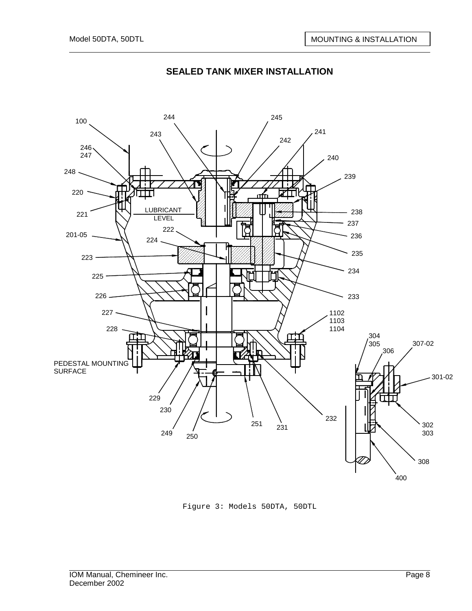

Figure 3: Models 50DTA, 50DTL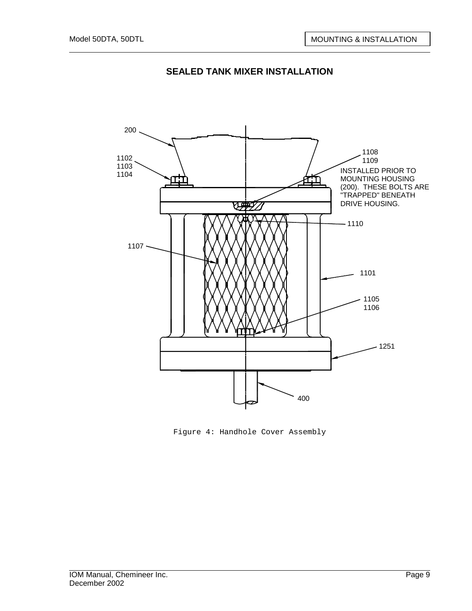



Figure 4: Handhole Cover Assembly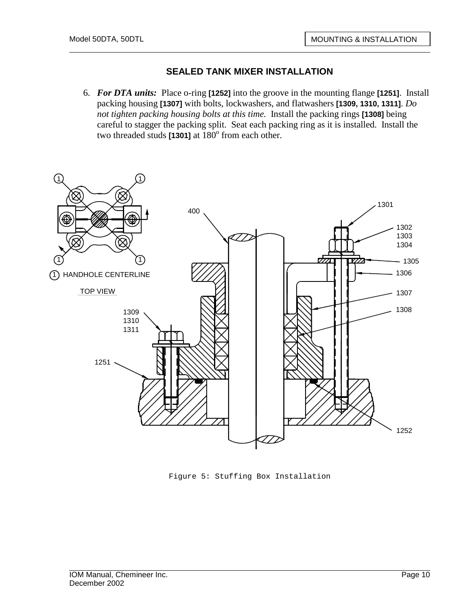6. *For DTA units:* Place o-ring **[1252]** into the groove in the mounting flange **[1251]**. Install packing housing **[1307]** with bolts, lockwashers, and flatwashers **[1309, 1310, 1311]**. *Do not tighten packing housing bolts at this time.* Install the packing rings **[1308]** being careful to stagger the packing split. Seat each packing ring as it is installed. Install the two threaded studs  $[1301]$  at  $180^\circ$  from each other.



Figure 5: Stuffing Box Installation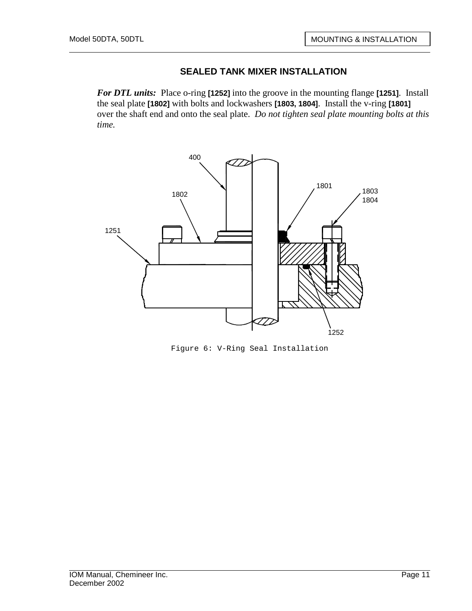*For DTL units:* Place o-ring **[1252]** into the groove in the mounting flange **[1251]**. Install the seal plate **[1802]** with bolts and lockwashers **[1803, 1804]**. Install the v-ring **[1801]**  over the shaft end and onto the seal plate. *Do not tighten seal plate mounting bolts at this time.*



Figure 6: V-Ring Seal Installation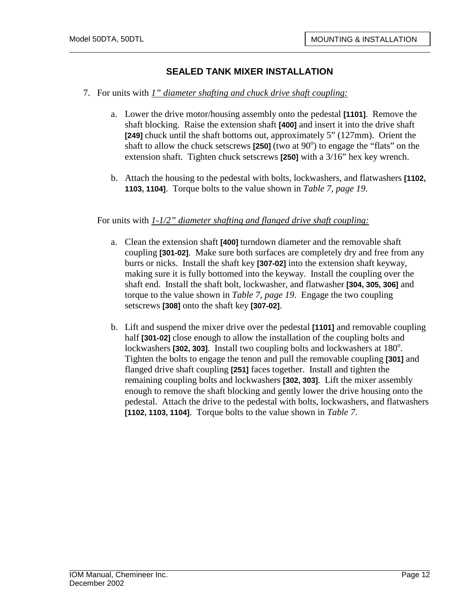- 7. For units with *1" diameter shafting and chuck drive shaft coupling:*
	- a. Lower the drive motor/housing assembly onto the pedestal **[1101]**. Remove the shaft blocking. Raise the extension shaft **[400]** and insert it into the drive shaft **[249]** chuck until the shaft bottoms out, approximately 5" (127mm). Orient the shaft to allow the chuck setscrews  $\left[250\right]$  (two at  $90^{\circ}$ ) to engage the "flats" on the extension shaft. Tighten chuck setscrews **[250]** with a 3/16" hex key wrench.
	- b. Attach the housing to the pedestal with bolts, lockwashers, and flatwashers **[1102, 1103, 1104]**. Torque bolts to the value shown in *Table 7, page 19*.

#### For units with *1-1/2" diameter shafting and flanged drive shaft coupling:*

- a. Clean the extension shaft **[400]** turndown diameter and the removable shaft coupling **[301-02]**. Make sure both surfaces are completely dry and free from any burrs or nicks. Install the shaft key **[307-02]** into the extension shaft keyway, making sure it is fully bottomed into the keyway. Install the coupling over the shaft end. Install the shaft bolt, lockwasher, and flatwasher **[304, 305, 306]** and torque to the value shown in *Table 7, page 19*. Engage the two coupling setscrews **[308]** onto the shaft key **[307-02]**.
- b. Lift and suspend the mixer drive over the pedestal **[1101]** and removable coupling half **[301-02]** close enough to allow the installation of the coupling bolts and lockwashers [302, 303]. Install two coupling bolts and lockwashers at 180<sup>°</sup>. Tighten the bolts to engage the tenon and pull the removable coupling **[301]** and flanged drive shaft coupling **[251]** faces together. Install and tighten the remaining coupling bolts and lockwashers **[302, 303]**. Lift the mixer assembly enough to remove the shaft blocking and gently lower the drive housing onto the pedestal. Attach the drive to the pedestal with bolts, lockwashers, and flatwashers **[1102, 1103, 1104]**. Torque bolts to the value shown in *Table 7*.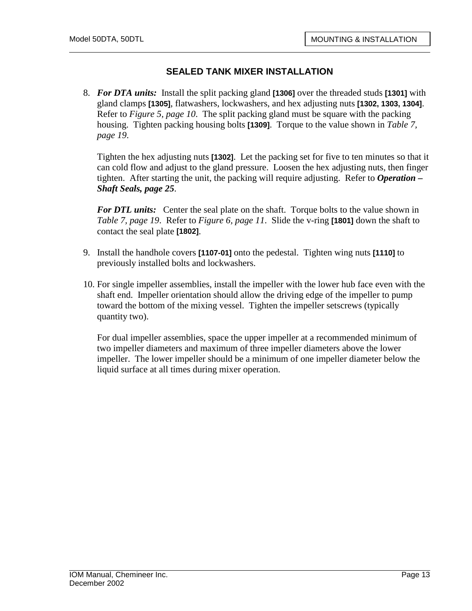8. *For DTA units:* Install the split packing gland **[1306]** over the threaded studs **[1301]** with gland clamps **[1305]**, flatwashers, lockwashers, and hex adjusting nuts **[1302, 1303, 1304]**. Refer to *Figure 5, page 10*. The split packing gland must be square with the packing housing. Tighten packing housing bolts **[1309]**. Torque to the value shown in *Table 7, page 19*.

Tighten the hex adjusting nuts **[1302]**. Let the packing set for five to ten minutes so that it can cold flow and adjust to the gland pressure. Loosen the hex adjusting nuts, then finger tighten. After starting the unit, the packing will require adjusting. Refer to *Operation – Shaft Seals, page 25*.

*For DTL units:* Center the seal plate on the shaft. Torque bolts to the value shown in *Table 7, page 19*. Refer to *Figure 6, page 11*. Slide the v-ring **[1801]** down the shaft to contact the seal plate **[1802]**.

- 9. Install the handhole covers **[1107-01]** onto the pedestal. Tighten wing nuts **[1110]** to previously installed bolts and lockwashers.
- 10. For single impeller assemblies, install the impeller with the lower hub face even with the shaft end. Impeller orientation should allow the driving edge of the impeller to pump toward the bottom of the mixing vessel. Tighten the impeller setscrews (typically quantity two).

For dual impeller assemblies, space the upper impeller at a recommended minimum of two impeller diameters and maximum of three impeller diameters above the lower impeller. The lower impeller should be a minimum of one impeller diameter below the liquid surface at all times during mixer operation.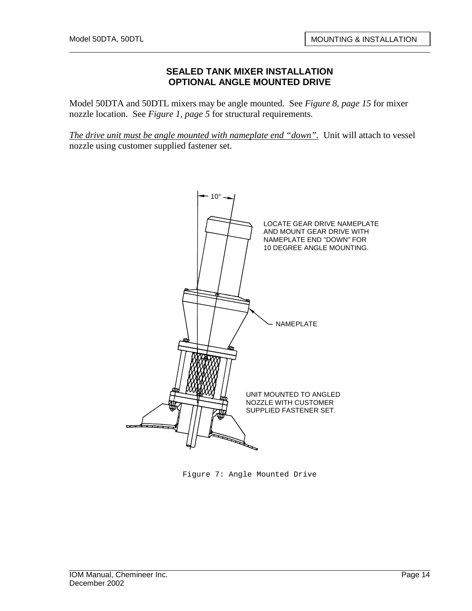#### **SEALED TANK MIXER INSTALLATION OPTIONAL ANGLE MOUNTED DRIVE**

Model 50DTA and 50DTL mixers may be angle mounted. See *Figure 8, page 15* for mixer nozzle location. See *Figure 1, page 5* for structural requirements.

*The drive unit must be angle mounted with nameplate end "down".* Unit will attach to vessel nozzle using customer supplied fastener set.



Figure 7: Angle Mounted Drive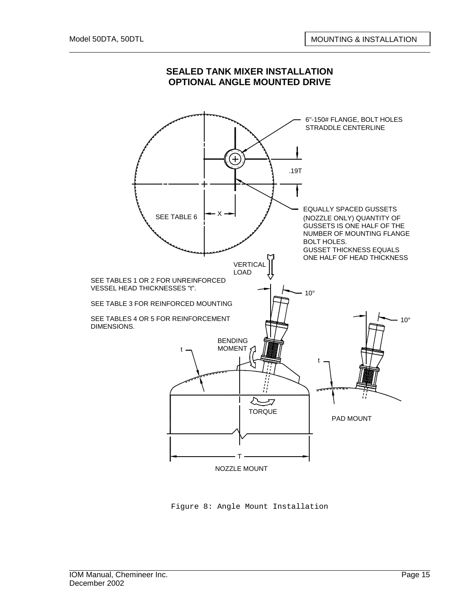

#### **SEALED TANK MIXER INSTALLATION OPTIONAL ANGLE MOUNTED DRIVE**

Figure 8: Angle Mount Installation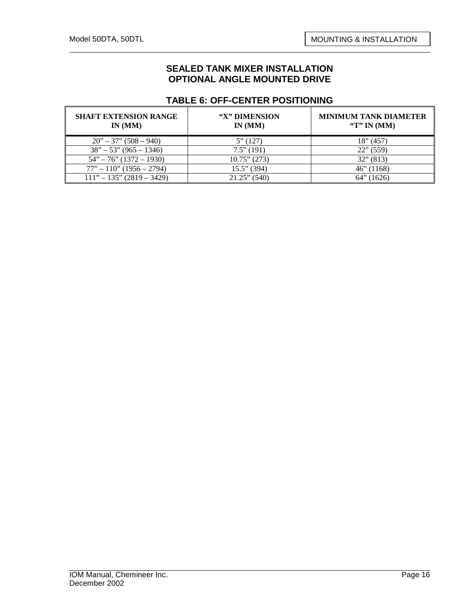#### **SEALED TANK MIXER INSTALLATION OPTIONAL ANGLE MOUNTED DRIVE**

#### **TABLE 6: OFF-CENTER POSITIONING**

| <b>SHAFT EXTENSION RANGE</b><br>IN(MM) | "X" DIMENSION<br>IN(MM) | <b>MINIMUM TANK DIAMETER</b><br>"T" IN $(MM)$ |
|----------------------------------------|-------------------------|-----------------------------------------------|
| $20" - 37" (508 - 940)$                | 5''(127)                | 18" (457)                                     |
| $38" - 53" (965 - 1346)$               | $7.5$ " (191)           | $22$ " (559)                                  |
| $54" - 76" (1372 - 1930)$              | $10.75$ " (273)         | $32$ " (813)                                  |
| $77" - 110" (1956 - 2794)$             | $15.5$ " (394)          | $46$ " (1168)                                 |
| $111" - 135" (2819 - 3429)$            | $21.25$ " (540)         | (1626)<br>$64"$ (                             |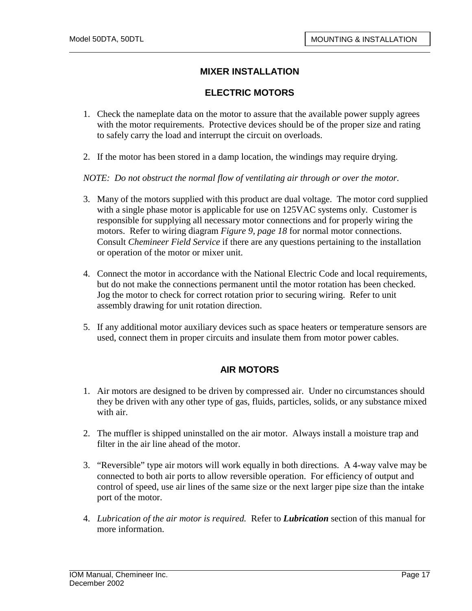## **MIXER INSTALLATION**

#### **ELECTRIC MOTORS**

- 1. Check the nameplate data on the motor to assure that the available power supply agrees with the motor requirements. Protective devices should be of the proper size and rating to safely carry the load and interrupt the circuit on overloads.
- 2. If the motor has been stored in a damp location, the windings may require drying.

*NOTE: Do not obstruct the normal flow of ventilating air through or over the motor.* 

- 3. Many of the motors supplied with this product are dual voltage. The motor cord supplied with a single phase motor is applicable for use on 125VAC systems only. Customer is responsible for supplying all necessary motor connections and for properly wiring the motors. Refer to wiring diagram *Figure 9, page 18* for normal motor connections. Consult *Chemineer Field Service* if there are any questions pertaining to the installation or operation of the motor or mixer unit.
- 4. Connect the motor in accordance with the National Electric Code and local requirements, but do not make the connections permanent until the motor rotation has been checked. Jog the motor to check for correct rotation prior to securing wiring. Refer to unit assembly drawing for unit rotation direction.
- 5. If any additional motor auxiliary devices such as space heaters or temperature sensors are used, connect them in proper circuits and insulate them from motor power cables.

## **AIR MOTORS**

- 1. Air motors are designed to be driven by compressed air. Under no circumstances should they be driven with any other type of gas, fluids, particles, solids, or any substance mixed with air.
- 2. The muffler is shipped uninstalled on the air motor. Always install a moisture trap and filter in the air line ahead of the motor.
- 3. "Reversible" type air motors will work equally in both directions. A 4-way valve may be connected to both air ports to allow reversible operation. For efficiency of output and control of speed, use air lines of the same size or the next larger pipe size than the intake port of the motor.
- 4. *Lubrication of the air motor is required.* Refer to *Lubrication* section of this manual for more information.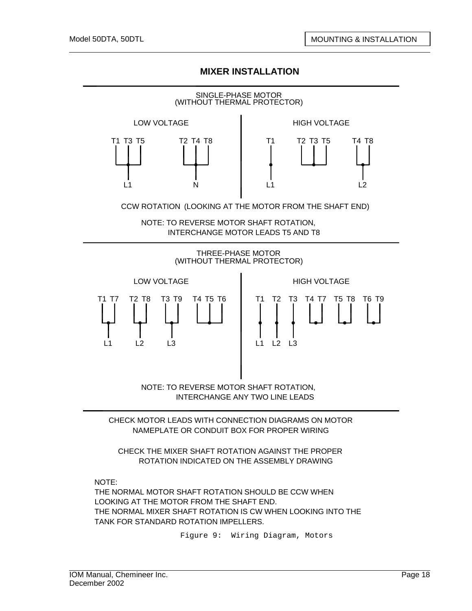## **MIXER INSTALLATION**



NAMEPLATE OR CONDUIT BOX FOR PROPER WIRING

CHECK THE MIXER SHAFT ROTATION AGAINST THE PROPER ROTATION INDICATED ON THE ASSEMBLY DRAWING

NOTE:

THE NORMAL MOTOR SHAFT ROTATION SHOULD BE CCW WHEN LOOKING AT THE MOTOR FROM THE SHAFT END. THE NORMAL MIXER SHAFT ROTATION IS CW WHEN LOOKING INTO THE TANK FOR STANDARD ROTATION IMPELLERS.

Figure 9: Wiring Diagram, Motors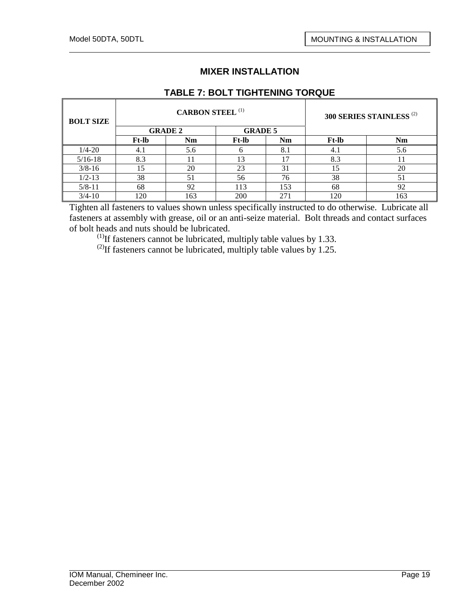# **MIXER INSTALLATION**

## **TABLE 7: BOLT TIGHTENING TORQUE**

| <b>BOLT SIZE</b> |              | <b>CARBON STEEL (1)</b> |                |     | 300 SERIES STAINLESS <sup>(2)</sup> |     |
|------------------|--------------|-------------------------|----------------|-----|-------------------------------------|-----|
|                  |              | <b>GRADE 2</b>          | <b>GRADE 5</b> |     |                                     |     |
|                  | <b>Ft-lb</b> | Nm                      | <b>Ft-lb</b>   | Nm  | <b>Ft-lb</b>                        | Nm  |
| $1/4 - 20$       | 4.1          | 5.6                     |                | 8.1 | 4.1                                 | 5.6 |
| $5/16-18$        | 8.3          |                         | 13             | 17  | 8.3                                 | 11  |
| $3/8 - 16$       | 15           | 20                      | 23             | 31  | 15                                  | 20  |
| $1/2 - 13$       | 38           | 51                      | 56             | 76  | 38                                  | 51  |
| $5/8 - 11$       | 68           | 92                      | 113            | 153 | 68                                  | 92  |
| $3/4 - 10$       | 120          | 163                     | 200            | 271 | 120                                 | 163 |

Tighten all fasteners to values shown unless specifically instructed to do otherwise. Lubricate all fasteners at assembly with grease, oil or an anti-seize material. Bolt threads and contact surfaces of bolt heads and nuts should be lubricated.

 $^{(1)}$ If fasteners cannot be lubricated, multiply table values by 1.33.

<sup>(2)</sup>If fasteners cannot be lubricated, multiply table values by 1.25.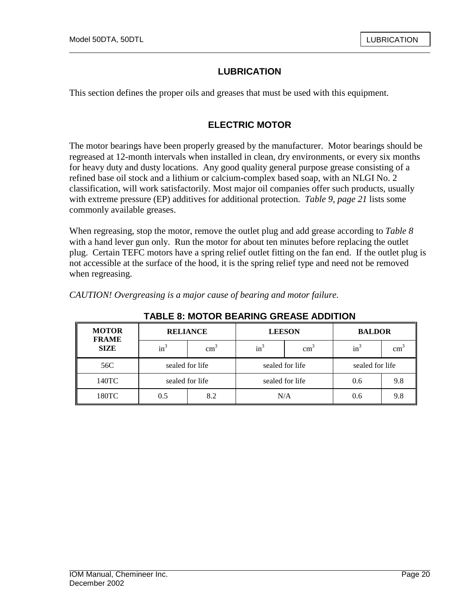# **LUBRICATION**

This section defines the proper oils and greases that must be used with this equipment.

## **ELECTRIC MOTOR**

The motor bearings have been properly greased by the manufacturer. Motor bearings should be regreased at 12-month intervals when installed in clean, dry environments, or every six months for heavy duty and dusty locations. Any good quality general purpose grease consisting of a refined base oil stock and a lithium or calcium-complex based soap, with an NLGI No. 2 classification, will work satisfactorily. Most major oil companies offer such products, usually with extreme pressure (EP) additives for additional protection. *Table 9, page 21* lists some commonly available greases.

When regreasing, stop the motor, remove the outlet plug and add grease according to *Table 8*  with a hand lever gun only. Run the motor for about ten minutes before replacing the outlet plug. Certain TEFC motors have a spring relief outlet fitting on the fan end. If the outlet plug is not accessible at the surface of the hood, it is the spring relief type and need not be removed when regreasing.

**TABLE 8: MOTOR BEARING GREASE ADDITION** 

| <b>MOTOR</b><br><b>FRAME</b><br><b>SIZE</b> | <b>RELIANCE</b> |               |                 | <b>LEESON</b> | <b>BALDOR</b>   |                 |  |  |  |
|---------------------------------------------|-----------------|---------------|-----------------|---------------|-----------------|-----------------|--|--|--|
|                                             | $\text{in}^3$   | $\text{cm}^3$ | $in^3$          | $\text{cm}^3$ |                 | cm <sup>3</sup> |  |  |  |
| 56C                                         | sealed for life |               | sealed for life |               | sealed for life |                 |  |  |  |
| 140TC                                       | sealed for life |               | sealed for life |               | 0.6             | 9.8             |  |  |  |
| 180TC                                       | 0.5             | 8.2           | N/A             |               | 0.6             | 9.8             |  |  |  |

*CAUTION! Overgreasing is a major cause of bearing and motor failure.*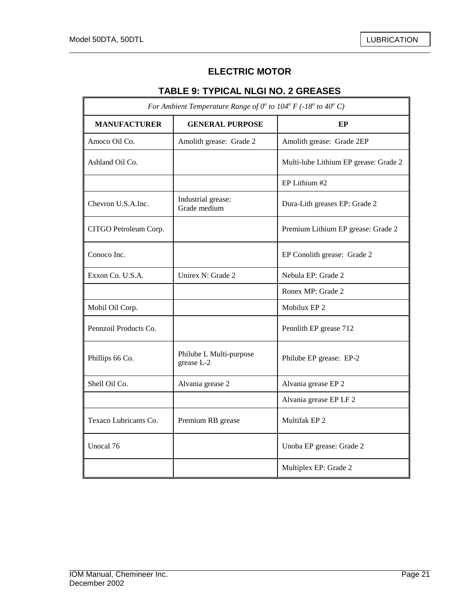7

# **ELECTRIC MOTOR**

# **TABLE 9: TYPICAL NLGI NO. 2 GREASES**

| For Ambient Temperature Range of $0^{\circ}$ to $104^{\circ}$ F (-18° to 40° C) |                                       |                                       |  |  |
|---------------------------------------------------------------------------------|---------------------------------------|---------------------------------------|--|--|
| <b>MANUFACTURER</b>                                                             | <b>GENERAL PURPOSE</b>                | EP                                    |  |  |
| Amoco Oil Co.                                                                   | Amolith grease: Grade 2               | Amolith grease: Grade 2EP             |  |  |
| Ashland Oil Co.                                                                 |                                       | Multi-lube Lithium EP grease: Grade 2 |  |  |
|                                                                                 |                                       | EP Lithium #2                         |  |  |
| Chevron U.S.A.Inc.                                                              | Industrial grease:<br>Grade medium    | Dura-Lith greases EP: Grade 2         |  |  |
| CITGO Petroleum Corp.                                                           |                                       | Premium Lithium EP grease: Grade 2    |  |  |
| Conoco Inc.                                                                     |                                       | EP Conolith grease: Grade 2           |  |  |
| Exxon Co. U.S.A.                                                                | Unirex N: Grade 2                     | Nebula EP: Grade 2                    |  |  |
|                                                                                 |                                       | Ronex MP: Grade 2                     |  |  |
| Mobil Oil Corp.                                                                 |                                       | Mobilux EP 2                          |  |  |
| Pennzoil Products Co.                                                           |                                       | Pennlith EP grease 712                |  |  |
| Phillips 66 Co.                                                                 | Philube L Multi-purpose<br>grease L-2 | Philube EP grease: EP-2               |  |  |
| Shell Oil Co.                                                                   | Alvania grease 2                      | Alvania grease EP 2                   |  |  |
|                                                                                 |                                       | Alvania grease EP LF 2                |  |  |
| Texaco Lubricants Co.                                                           | Premium RB grease                     | Multifak EP <sub>2</sub>              |  |  |
| Unocal 76                                                                       |                                       | Unoba EP grease: Grade 2              |  |  |
|                                                                                 |                                       | Multiplex EP: Grade 2                 |  |  |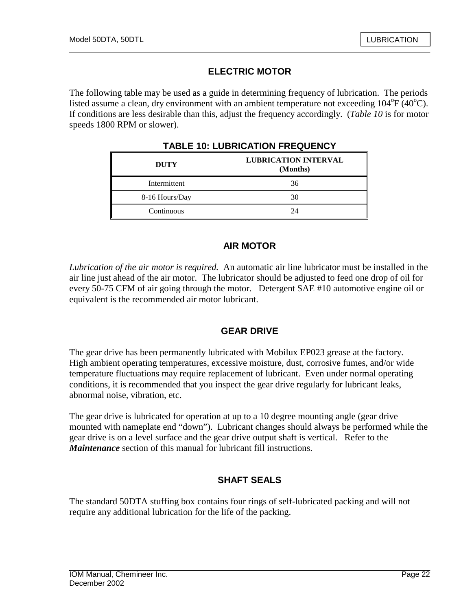# **ELECTRIC MOTOR**

The following table may be used as a guide in determining frequency of lubrication. The periods listed assume a clean, dry environment with an ambient temperature not exceeding  $104^{\circ}F(40^{\circ}C)$ . If conditions are less desirable than this, adjust the frequency accordingly. (*Table 10* is for motor speeds 1800 RPM or slower).

| <b>DUTY</b>    | <b>LUBRICATION INTERVAL</b><br>(Months) |  |
|----------------|-----------------------------------------|--|
| Intermittent   | 36                                      |  |
| 8-16 Hours/Day | 30                                      |  |
| Continuous     | 24                                      |  |

**TABLE 10: LUBRICATION FREQUENCY** 

### **AIR MOTOR**

*Lubrication of the air motor is required.* An automatic air line lubricator must be installed in the air line just ahead of the air motor. The lubricator should be adjusted to feed one drop of oil for every 50-75 CFM of air going through the motor. Detergent SAE #10 automotive engine oil or equivalent is the recommended air motor lubricant.

#### **GEAR DRIVE**

The gear drive has been permanently lubricated with Mobilux EP023 grease at the factory. High ambient operating temperatures, excessive moisture, dust, corrosive fumes, and/or wide temperature fluctuations may require replacement of lubricant. Even under normal operating conditions, it is recommended that you inspect the gear drive regularly for lubricant leaks, abnormal noise, vibration, etc.

The gear drive is lubricated for operation at up to a 10 degree mounting angle (gear drive mounted with nameplate end "down"). Lubricant changes should always be performed while the gear drive is on a level surface and the gear drive output shaft is vertical. Refer to the *Maintenance* section of this manual for lubricant fill instructions.

## **SHAFT SEALS**

The standard 50DTA stuffing box contains four rings of self-lubricated packing and will not require any additional lubrication for the life of the packing.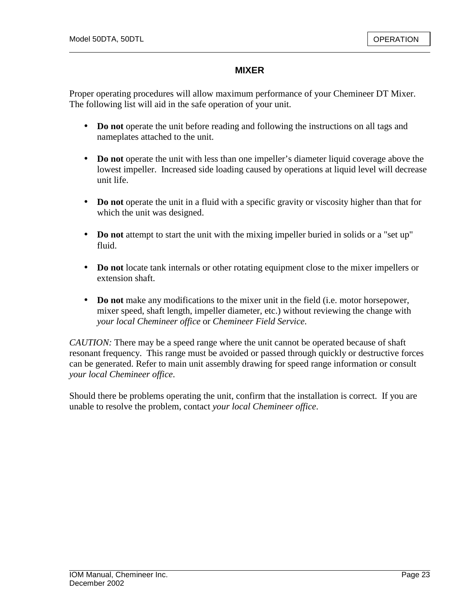## **MIXER**

Proper operating procedures will allow maximum performance of your Chemineer DT Mixer. The following list will aid in the safe operation of your unit.

- **Do not** operate the unit before reading and following the instructions on all tags and nameplates attached to the unit.
- **Do not** operate the unit with less than one impeller's diameter liquid coverage above the lowest impeller. Increased side loading caused by operations at liquid level will decrease unit life.
- **Do not** operate the unit in a fluid with a specific gravity or viscosity higher than that for which the unit was designed.
- **Do not** attempt to start the unit with the mixing impeller buried in solids or a "set up" fluid.
- **Do not** locate tank internals or other rotating equipment close to the mixer impellers or extension shaft.
- **Do not** make any modifications to the mixer unit in the field (i.e. motor horsepower, mixer speed, shaft length, impeller diameter, etc.) without reviewing the change with *your local Chemineer office* or *Chemineer Field Service*.

*CAUTION:* There may be a speed range where the unit cannot be operated because of shaft resonant frequency. This range must be avoided or passed through quickly or destructive forces can be generated. Refer to main unit assembly drawing for speed range information or consult *your local Chemineer office*.

Should there be problems operating the unit, confirm that the installation is correct. If you are unable to resolve the problem, contact *your local Chemineer office*.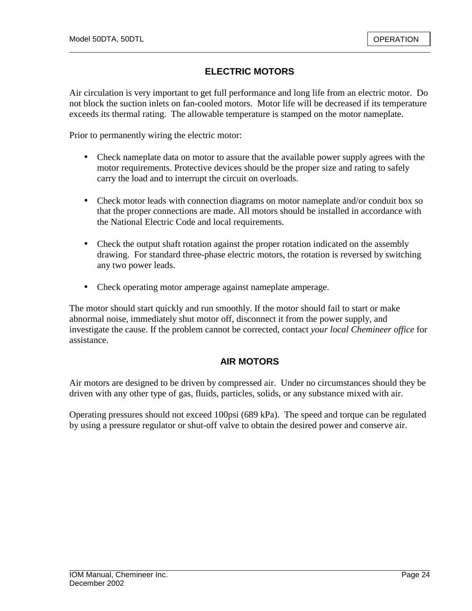# **ELECTRIC MOTORS**

Air circulation is very important to get full performance and long life from an electric motor. Do not block the suction inlets on fan-cooled motors. Motor life will be decreased if its temperature exceeds its thermal rating. The allowable temperature is stamped on the motor nameplate.

Prior to permanently wiring the electric motor:

- Check nameplate data on motor to assure that the available power supply agrees with the motor requirements. Protective devices should be the proper size and rating to safely carry the load and to interrupt the circuit on overloads.
- Check motor leads with connection diagrams on motor nameplate and/or conduit box so that the proper connections are made. All motors should be installed in accordance with the National Electric Code and local requirements.
- Check the output shaft rotation against the proper rotation indicated on the assembly drawing. For standard three-phase electric motors, the rotation is reversed by switching any two power leads.
- Check operating motor amperage against nameplate amperage.

The motor should start quickly and run smoothly. If the motor should fail to start or make abnormal noise, immediately shut motor off, disconnect it from the power supply, and investigate the cause. If the problem cannot be corrected, contact *your local Chemineer office* for assistance.

#### **AIR MOTORS**

Air motors are designed to be driven by compressed air. Under no circumstances should they be driven with any other type of gas, fluids, particles, solids, or any substance mixed with air.

Operating pressures should not exceed 100psi (689 kPa). The speed and torque can be regulated by using a pressure regulator or shut-off valve to obtain the desired power and conserve air.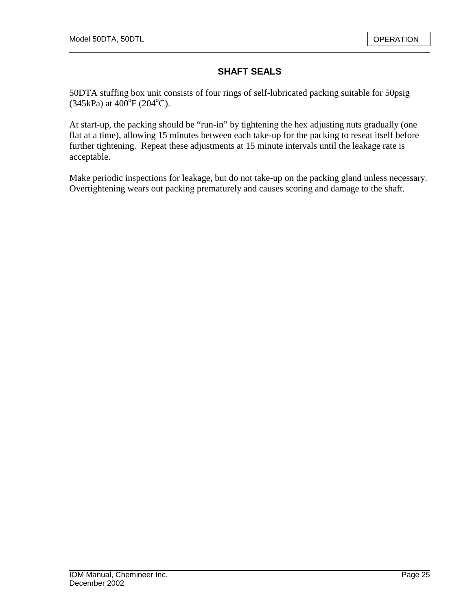# **SHAFT SEALS**

50DTA stuffing box unit consists of four rings of self-lubricated packing suitable for 50psig  $(345kPa)$  at  $400^{\circ}F(204^{\circ}C)$ .

At start-up, the packing should be "run-in" by tightening the hex adjusting nuts gradually (one flat at a time), allowing 15 minutes between each take-up for the packing to reseat itself before further tightening. Repeat these adjustments at 15 minute intervals until the leakage rate is acceptable.

Make periodic inspections for leakage, but do not take-up on the packing gland unless necessary. Overtightening wears out packing prematurely and causes scoring and damage to the shaft.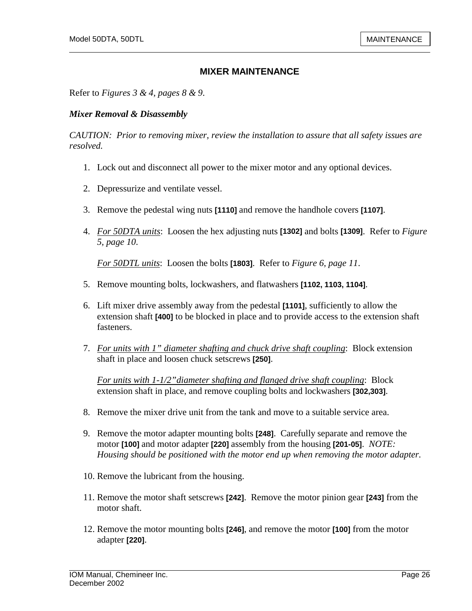Refer to *Figures 3 & 4, pages 8 & 9*.

#### *Mixer Removal & Disassembly*

*CAUTION: Prior to removing mixer, review the installation to assure that all safety issues are resolved.* 

- 1. Lock out and disconnect all power to the mixer motor and any optional devices.
- 2. Depressurize and ventilate vessel.
- 3. Remove the pedestal wing nuts **[1110]** and remove the handhole covers **[1107]**.
- 4. *For 50DTA units*: Loosen the hex adjusting nuts **[1302]** and bolts **[1309]**. Refer to *Figure 5, page 10*.

*For 50DTL units*: Loosen the bolts **[1803]**. Refer to *Figure 6, page 11*.

- 5. Remove mounting bolts, lockwashers, and flatwashers **[1102, 1103, 1104]**.
- 6. Lift mixer drive assembly away from the pedestal **[1101]**, sufficiently to allow the extension shaft **[400]** to be blocked in place and to provide access to the extension shaft fasteners.
- 7. *For units with 1" diameter shafting and chuck drive shaft coupling*: Block extension shaft in place and loosen chuck setscrews **[250]**.

*For units with 1-1/2"diameter shafting and flanged drive shaft coupling*: Block extension shaft in place, and remove coupling bolts and lockwashers **[302,303]**.

- 8. Remove the mixer drive unit from the tank and move to a suitable service area.
- 9. Remove the motor adapter mounting bolts **[248]**. Carefully separate and remove the motor **[100]** and motor adapter **[220]** assembly from the housing **[201-05]**. *NOTE: Housing should be positioned with the motor end up when removing the motor adapter.*
- 10. Remove the lubricant from the housing.
- 11. Remove the motor shaft setscrews **[242]**. Remove the motor pinion gear **[243]** from the motor shaft.
- 12. Remove the motor mounting bolts **[246]**, and remove the motor **[100]** from the motor adapter **[220]**.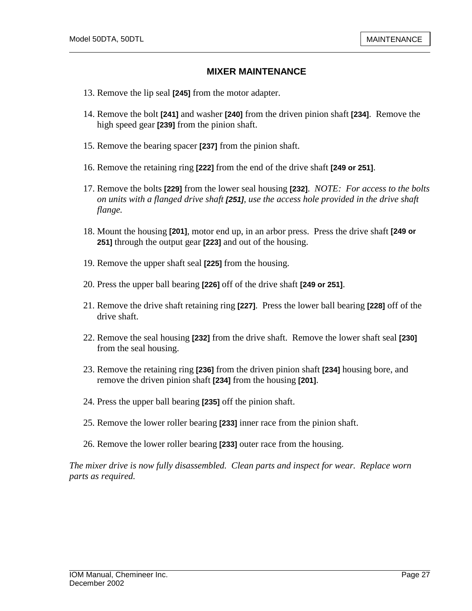- 13. Remove the lip seal **[245]** from the motor adapter.
- 14. Remove the bolt **[241]** and washer **[240]** from the driven pinion shaft **[234]**. Remove the high speed gear **[239]** from the pinion shaft.
- 15. Remove the bearing spacer **[237]** from the pinion shaft.
- 16. Remove the retaining ring **[222]** from the end of the drive shaft **[249 or 251]**.
- 17. Remove the bolts **[229]** from the lower seal housing **[232]**. *NOTE: For access to the bolts on units with a flanged drive shaft [251], use the access hole provided in the drive shaft flange.*
- 18. Mount the housing **[201]**, motor end up, in an arbor press. Press the drive shaft **[249 or 251]** through the output gear **[223]** and out of the housing.
- 19. Remove the upper shaft seal **[225]** from the housing.
- 20. Press the upper ball bearing **[226]** off of the drive shaft **[249 or 251]**.
- 21. Remove the drive shaft retaining ring **[227]**. Press the lower ball bearing **[228]** off of the drive shaft.
- 22. Remove the seal housing **[232]** from the drive shaft. Remove the lower shaft seal **[230]** from the seal housing.
- 23. Remove the retaining ring **[236]** from the driven pinion shaft **[234]** housing bore, and remove the driven pinion shaft **[234]** from the housing **[201]**.
- 24. Press the upper ball bearing **[235]** off the pinion shaft.
- 25. Remove the lower roller bearing **[233]** inner race from the pinion shaft.
- 26. Remove the lower roller bearing **[233]** outer race from the housing.

*The mixer drive is now fully disassembled. Clean parts and inspect for wear. Replace worn parts as required.*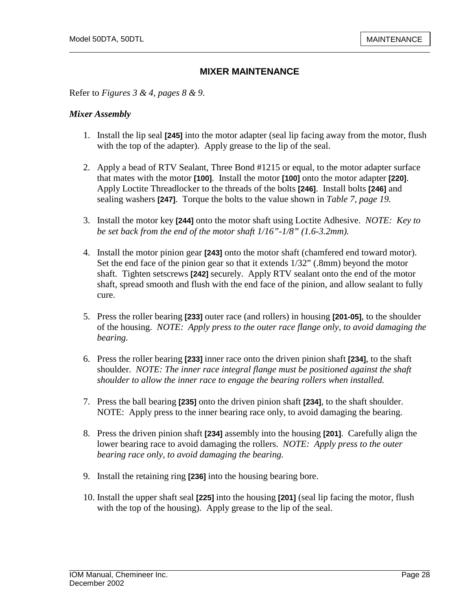Refer to *Figures 3 & 4, pages 8 & 9*.

#### *Mixer Assembly*

- 1. Install the lip seal **[245]** into the motor adapter (seal lip facing away from the motor, flush with the top of the adapter). Apply grease to the lip of the seal.
- 2. Apply a bead of RTV Sealant, Three Bond #1215 or equal, to the motor adapter surface that mates with the motor **[100]**. Install the motor **[100]** onto the motor adapter **[220]**. Apply Loctite Threadlocker to the threads of the bolts **[246]**. Install bolts **[246]** and sealing washers **[247]**. Torque the bolts to the value shown in *Table 7, page 19.*
- 3. Install the motor key **[244]** onto the motor shaft using Loctite Adhesive. *NOTE: Key to be set back from the end of the motor shaft 1/16"-1/8" (1.6-3.2mm).*
- 4. Install the motor pinion gear **[243]** onto the motor shaft (chamfered end toward motor). Set the end face of the pinion gear so that it extends 1/32" (.8mm) beyond the motor shaft. Tighten setscrews **[242]** securely. Apply RTV sealant onto the end of the motor shaft, spread smooth and flush with the end face of the pinion, and allow sealant to fully cure.
- 5. Press the roller bearing **[233]** outer race (and rollers) in housing **[201-05]**, to the shoulder of the housing. *NOTE: Apply press to the outer race flange only, to avoid damaging the bearing.*
- 6. Press the roller bearing **[233]** inner race onto the driven pinion shaft **[234]**, to the shaft shoulder. *NOTE: The inner race integral flange must be positioned against the shaft shoulder to allow the inner race to engage the bearing rollers when installed.*
- 7. Press the ball bearing **[235]** onto the driven pinion shaft **[234]**, to the shaft shoulder. NOTE: Apply press to the inner bearing race only, to avoid damaging the bearing.
- 8. Press the driven pinion shaft **[234]** assembly into the housing **[201]**. Carefully align the lower bearing race to avoid damaging the rollers. *NOTE: Apply press to the outer bearing race only, to avoid damaging the bearing.*
- 9. Install the retaining ring **[236]** into the housing bearing bore.
- 10. Install the upper shaft seal **[225]** into the housing **[201]** (seal lip facing the motor, flush with the top of the housing). Apply grease to the lip of the seal.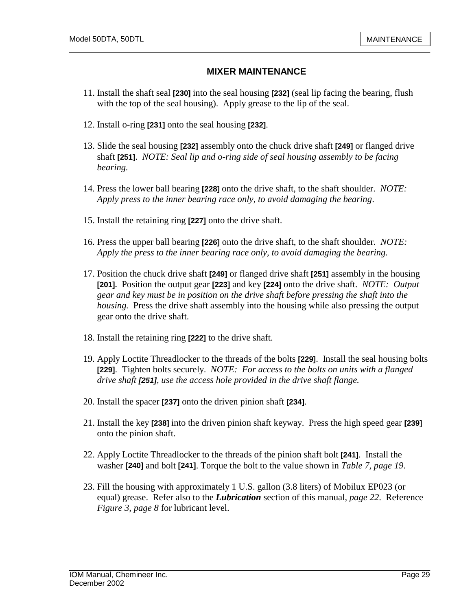- 11. Install the shaft seal **[230]** into the seal housing **[232]** (seal lip facing the bearing, flush with the top of the seal housing). Apply grease to the lip of the seal.
- 12. Install o-ring **[231]** onto the seal housing **[232]**.
- 13. Slide the seal housing **[232]** assembly onto the chuck drive shaft **[249]** or flanged drive shaft **[251]**. *NOTE: Seal lip and o-ring side of seal housing assembly to be facing bearing.*
- 14. Press the lower ball bearing **[228]** onto the drive shaft, to the shaft shoulder. *NOTE: Apply press to the inner bearing race only, to avoid damaging the bearing*.
- 15. Install the retaining ring **[227]** onto the drive shaft.
- 16. Press the upper ball bearing **[226]** onto the drive shaft, to the shaft shoulder. *NOTE: Apply the press to the inner bearing race only, to avoid damaging the bearing.*
- 17. Position the chuck drive shaft **[249]** or flanged drive shaft **[251]** assembly in the housing **[201].** Position the output gear **[223]** and key **[224]** onto the drive shaft. *NOTE: Output gear and key must be in position on the drive shaft before pressing the shaft into the housing.* Press the drive shaft assembly into the housing while also pressing the output gear onto the drive shaft.
- 18. Install the retaining ring **[222]** to the drive shaft.
- 19. Apply Loctite Threadlocker to the threads of the bolts **[229]**. Install the seal housing bolts **[229]**. Tighten bolts securely. *NOTE: For access to the bolts on units with a flanged drive shaft [251], use the access hole provided in the drive shaft flange.*
- 20. Install the spacer **[237]** onto the driven pinion shaft **[234]**.
- 21. Install the key **[238]** into the driven pinion shaft keyway. Press the high speed gear **[239]** onto the pinion shaft.
- 22. Apply Loctite Threadlocker to the threads of the pinion shaft bolt **[241]**. Install the washer **[240]** and bolt **[241]**. Torque the bolt to the value shown in *Table 7, page 19*.
- 23. Fill the housing with approximately 1 U.S. gallon (3.8 liters) of Mobilux EP023 (or equal) grease. Refer also to the *Lubrication* section of this manual, *page 22*. Reference *Figure 3, page 8* for lubricant level.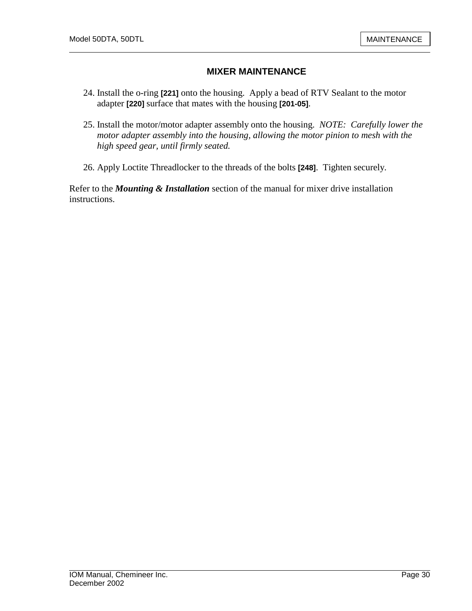- 24. Install the o-ring **[221]** onto the housing. Apply a bead of RTV Sealant to the motor adapter **[220]** surface that mates with the housing **[201-05]**.
- 25. Install the motor/motor adapter assembly onto the housing. *NOTE: Carefully lower the motor adapter assembly into the housing, allowing the motor pinion to mesh with the high speed gear, until firmly seated.*
- 26. Apply Loctite Threadlocker to the threads of the bolts **[248]**. Tighten securely.

Refer to the *Mounting & Installation* section of the manual for mixer drive installation instructions.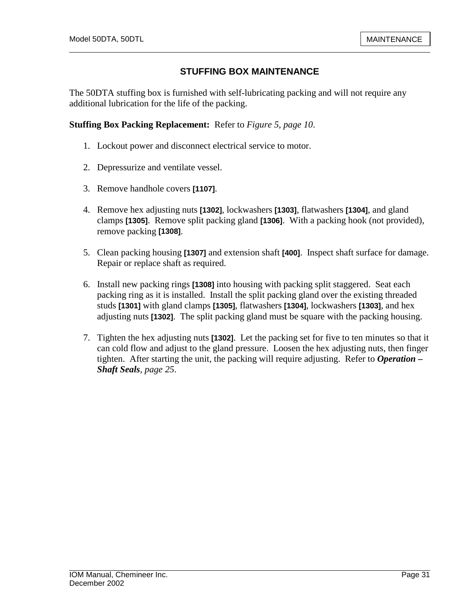# **STUFFING BOX MAINTENANCE**

The 50DTA stuffing box is furnished with self-lubricating packing and will not require any additional lubrication for the life of the packing.

#### **Stuffing Box Packing Replacement:** Refer to *Figure 5, page 10*.

- 1. Lockout power and disconnect electrical service to motor.
- 2. Depressurize and ventilate vessel.
- 3. Remove handhole covers **[1107]**.
- 4. Remove hex adjusting nuts **[1302]**, lockwashers **[1303]**, flatwashers **[1304]**, and gland clamps **[1305]**. Remove split packing gland **[1306]**. With a packing hook (not provided), remove packing **[1308]**.
- 5. Clean packing housing **[1307]** and extension shaft **[400]**. Inspect shaft surface for damage. Repair or replace shaft as required.
- 6. Install new packing rings **[1308]** into housing with packing split staggered. Seat each packing ring as it is installed. Install the split packing gland over the existing threaded studs **[1301]** with gland clamps **[1305]**, flatwashers **[1304]**, lockwashers **[1303]**, and hex adjusting nuts **[1302]**. The split packing gland must be square with the packing housing.
- 7. Tighten the hex adjusting nuts **[1302]**. Let the packing set for five to ten minutes so that it can cold flow and adjust to the gland pressure. Loosen the hex adjusting nuts, then finger tighten. After starting the unit, the packing will require adjusting. Refer to *Operation – Shaft Seals, page 25*.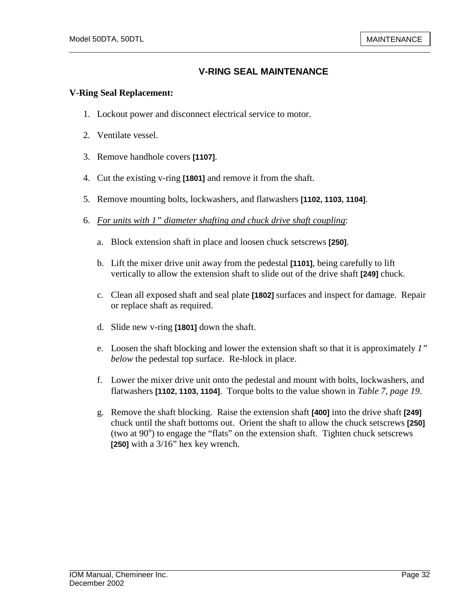## **V-RING SEAL MAINTENANCE**

#### **V-Ring Seal Replacement:**

- 1. Lockout power and disconnect electrical service to motor.
- 2. Ventilate vessel.
- 3. Remove handhole covers **[1107]**.
- 4. Cut the existing v-ring **[1801]** and remove it from the shaft.
- 5. Remove mounting bolts, lockwashers, and flatwashers **[1102, 1103, 1104]**.
- 6. *For units with 1" diameter shafting and chuck drive shaft coupling*:
	- a. Block extension shaft in place and loosen chuck setscrews **[250]**.
	- b. Lift the mixer drive unit away from the pedestal **[1101]**, being carefully to lift vertically to allow the extension shaft to slide out of the drive shaft **[249]** chuck.
	- c. Clean all exposed shaft and seal plate **[1802]** surfaces and inspect for damage. Repair or replace shaft as required.
	- d. Slide new v-ring **[1801]** down the shaft.
	- e. Loosen the shaft blocking and lower the extension shaft so that it is approximately *1" below* the pedestal top surface. Re-block in place.
	- f. Lower the mixer drive unit onto the pedestal and mount with bolts, lockwashers, and flatwashers **[1102, 1103, 1104]**. Torque bolts to the value shown in *Table 7, page 19*.
	- g. Remove the shaft blocking. Raise the extension shaft **[400]** into the drive shaft **[249]**  chuck until the shaft bottoms out. Orient the shaft to allow the chuck setscrews **[250]**  (two at  $90^\circ$ ) to engage the "flats" on the extension shaft. Tighten chuck setscrews **[250]** with a 3/16" hex key wrench.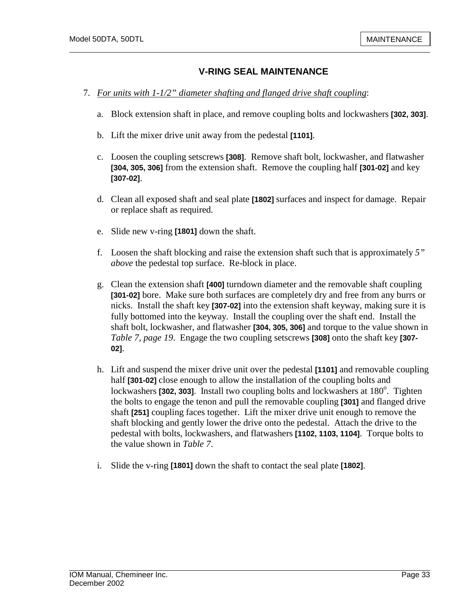#### **V-RING SEAL MAINTENANCE**

- 7. *For units with 1-1/2" diameter shafting and flanged drive shaft coupling*:
	- a. Block extension shaft in place, and remove coupling bolts and lockwashers **[302, 303]**.
	- b. Lift the mixer drive unit away from the pedestal **[1101]**.
	- c. Loosen the coupling setscrews **[308]**. Remove shaft bolt, lockwasher, and flatwasher **[304, 305, 306]** from the extension shaft. Remove the coupling half **[301-02]** and key **[307-02]**.
	- d. Clean all exposed shaft and seal plate **[1802]** surfaces and inspect for damage. Repair or replace shaft as required.
	- e. Slide new v-ring **[1801]** down the shaft.
	- f. Loosen the shaft blocking and raise the extension shaft such that is approximately *5" above* the pedestal top surface. Re-block in place.
	- g. Clean the extension shaft **[400]** turndown diameter and the removable shaft coupling **[301-02]** bore. Make sure both surfaces are completely dry and free from any burrs or nicks. Install the shaft key **[307-02]** into the extension shaft keyway, making sure it is fully bottomed into the keyway. Install the coupling over the shaft end. Install the shaft bolt, lockwasher, and flatwasher **[304, 305, 306]** and torque to the value shown in *Table 7, page 19*. Engage the two coupling setscrews **[308]** onto the shaft key **[307- 02]**.
	- h. Lift and suspend the mixer drive unit over the pedestal **[1101]** and removable coupling half **[301-02]** close enough to allow the installation of the coupling bolts and lockwashers [302, 303]. Install two coupling bolts and lockwashers at 180<sup>°</sup>. Tighten the bolts to engage the tenon and pull the removable coupling **[301]** and flanged drive shaft **[251]** coupling faces together. Lift the mixer drive unit enough to remove the shaft blocking and gently lower the drive onto the pedestal. Attach the drive to the pedestal with bolts, lockwashers, and flatwashers **[1102, 1103, 1104]**. Torque bolts to the value shown in *Table 7*.
	- i. Slide the v-ring **[1801]** down the shaft to contact the seal plate **[1802]**.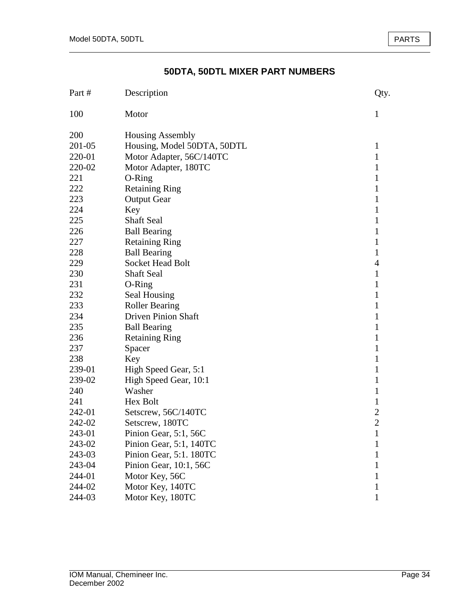# **50DTA, 50DTL MIXER PART NUMBERS**

| Part # | Description                 | Qty.           |
|--------|-----------------------------|----------------|
| 100    | Motor                       | 1              |
| 200    | <b>Housing Assembly</b>     |                |
| 201-05 | Housing, Model 50DTA, 50DTL | 1              |
| 220-01 | Motor Adapter, 56C/140TC    | $\mathbf{1}$   |
| 220-02 | Motor Adapter, 180TC        | 1              |
| 221    | O-Ring                      | $\mathbf{1}$   |
| 222    | <b>Retaining Ring</b>       | 1              |
| 223    | <b>Output Gear</b>          | 1              |
| 224    | Key                         | 1              |
| 225    | <b>Shaft Seal</b>           | 1              |
| 226    | <b>Ball Bearing</b>         | 1              |
| 227    | <b>Retaining Ring</b>       | 1              |
| 228    | <b>Ball Bearing</b>         | $\mathbf{1}$   |
| 229    | <b>Socket Head Bolt</b>     | $\overline{4}$ |
| 230    | <b>Shaft Seal</b>           | $\mathbf{1}$   |
| 231    | $O-Ring$                    | $\mathbf{1}$   |
| 232    | Seal Housing                | 1              |
| 233    | <b>Roller Bearing</b>       | 1              |
| 234    | <b>Driven Pinion Shaft</b>  | 1              |
| 235    | <b>Ball Bearing</b>         | 1              |
| 236    | <b>Retaining Ring</b>       | 1              |
| 237    | Spacer                      | 1              |
| 238    | Key                         | 1              |
| 239-01 | High Speed Gear, 5:1        | 1              |
| 239-02 | High Speed Gear, 10:1       | 1              |
| 240    | Washer                      | $\mathbf{1}$   |
| 241    | Hex Bolt                    | $\mathbf{1}$   |
| 242-01 | Setscrew, 56C/140TC         | $\overline{2}$ |
| 242-02 | Setscrew, 180TC             | $\overline{2}$ |
| 243-01 | Pinion Gear, 5:1, 56C       | 1              |
| 243-02 | Pinion Gear, 5:1, 140TC     | 1              |
| 243-03 | Pinion Gear, 5:1. 180TC     | 1              |
| 243-04 | Pinion Gear, 10:1, 56C      | 1              |
| 244-01 | Motor Key, 56C              | 1              |
| 244-02 | Motor Key, 140TC            | 1              |
| 244-03 | Motor Key, 180TC            | 1              |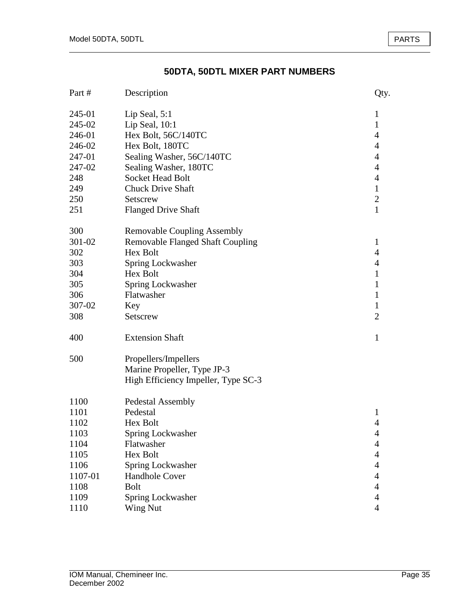# **50DTA, 50DTL MIXER PART NUMBERS**

| Part #  | Description                             | Qty.           |
|---------|-----------------------------------------|----------------|
| 245-01  | Lip Seal, 5:1                           | $\mathbf{1}$   |
| 245-02  | Lip Seal, $10:1$                        | $\mathbf{1}$   |
| 246-01  | Hex Bolt, 56C/140TC                     | 4              |
| 246-02  | Hex Bolt, 180TC                         | 4              |
| 247-01  | Sealing Washer, 56C/140TC               | $\overline{4}$ |
| 247-02  | Sealing Washer, 180TC                   | 4              |
| 248     | <b>Socket Head Bolt</b>                 | $\overline{4}$ |
| 249     | <b>Chuck Drive Shaft</b>                | $\mathbf{1}$   |
| 250     | Setscrew                                | $\overline{2}$ |
| 251     | <b>Flanged Drive Shaft</b>              | $\mathbf{1}$   |
| 300     | <b>Removable Coupling Assembly</b>      |                |
| 301-02  | <b>Removable Flanged Shaft Coupling</b> | 1              |
| 302     | Hex Bolt                                | 4              |
| 303     | Spring Lockwasher                       | $\overline{4}$ |
| 304     | Hex Bolt                                | $\mathbf{1}$   |
| 305     | Spring Lockwasher                       | 1              |
| 306     | Flatwasher                              | $\mathbf{1}$   |
| 307-02  | Key                                     | $\mathbf{1}$   |
| 308     | Setscrew                                | $\overline{2}$ |
| 400     | <b>Extension Shaft</b>                  | 1              |
| 500     | Propellers/Impellers                    |                |
|         | Marine Propeller, Type JP-3             |                |
|         | High Efficiency Impeller, Type SC-3     |                |
| 1100    | <b>Pedestal Assembly</b>                |                |
| 1101    | Pedestal                                | $\mathbf{1}$   |
| 1102    | Hex Bolt                                | $\overline{4}$ |
| 1103    | Spring Lockwasher                       | 4              |
| 1104    | Flatwasher                              | $\overline{4}$ |
| 1105    | Hex Bolt                                | 4              |
| 1106    | Spring Lockwasher                       | 4              |
| 1107-01 | Handhole Cover                          | 4              |
| 1108    | <b>Bolt</b>                             | 4              |
| 1109    | Spring Lockwasher                       | 4              |
| 1110    | Wing Nut                                | $\overline{4}$ |